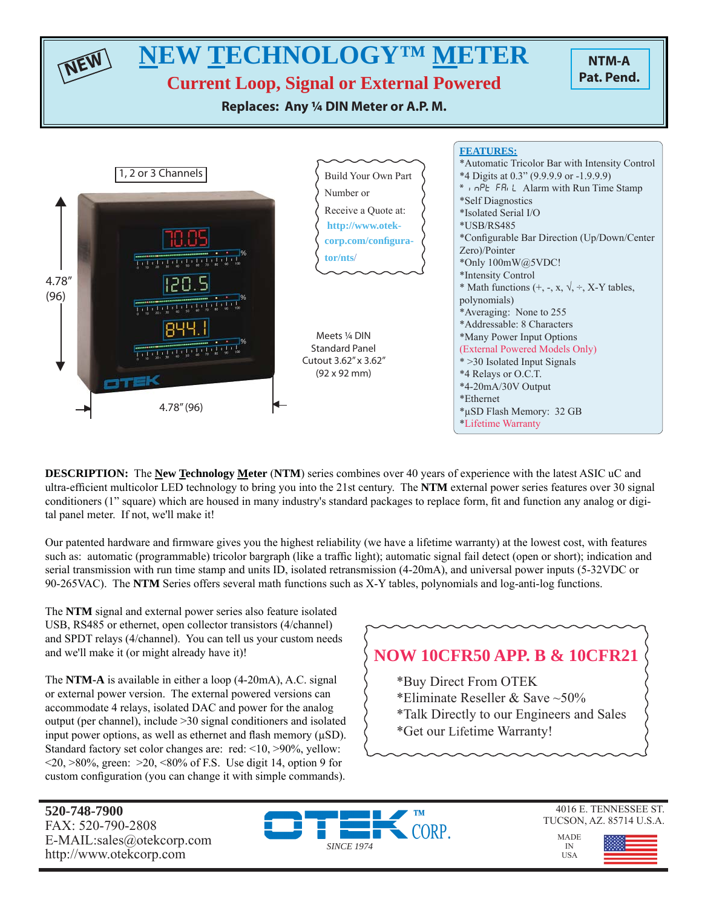

**DESCRIPTION:** The **New Technology Meter** (**NTM**) series combines over 40 years of experience with the latest ASIC uC and ultra-efficient multicolor LED technology to bring you into the 21st century. The **NTM** external power series features over 30 signal conditioners (1" square) which are housed in many industry's standard packages to replace form, fi t and function any analog or digital panel meter. If not, we'll make it!

Our patented hardware and firmware gives you the highest reliability (we have a lifetime warranty) at the lowest cost, with features such as: automatic (programmable) tricolor bargraph (like a traffic light); automatic signal fail detect (open or short); indication and serial transmission with run time stamp and units ID, isolated retransmission (4-20mA), and universal power inputs (5-32VDC or 90-265VAC). The **NTM** Series offers several math functions such as X-Y tables, polynomials and log-anti-log functions.

The **NTM** signal and external power series also feature isolated USB, RS485 or ethernet, open collector transistors (4/channel) and SPDT relays (4/channel). You can tell us your custom needs and we'll make it (or might already have it)!

The **NTM-A** is available in either a loop (4-20mA), A.C. signal or external power version. The external powered versions can accommodate 4 relays, isolated DAC and power for the analog output (per channel), include >30 signal conditioners and isolated input power options, as well as ethernet and flash memory  $(\mu SD)$ . Standard factory set color changes are: red: <10, >90%, yellow:  $\langle 20, \rangle 80\%$ , green:  $\langle 20, \langle 80, \rangle$  of F.S. Use digit 14, option 9 for custom configuration (you can change it with simple commands).

# **NOW 10CFR50 APP. B & 10CFR21**

- \*Buy Direct From OTEK
- \*Eliminate Reseller & Save ~50%
- \*Talk Directly to our Engineers and Sales
- \*Get our Lifetime Warranty!

**520-748-7900** FAX: 520-790-2808 E-MAIL:sales@otekcorp.com http://www.otekcorp.com



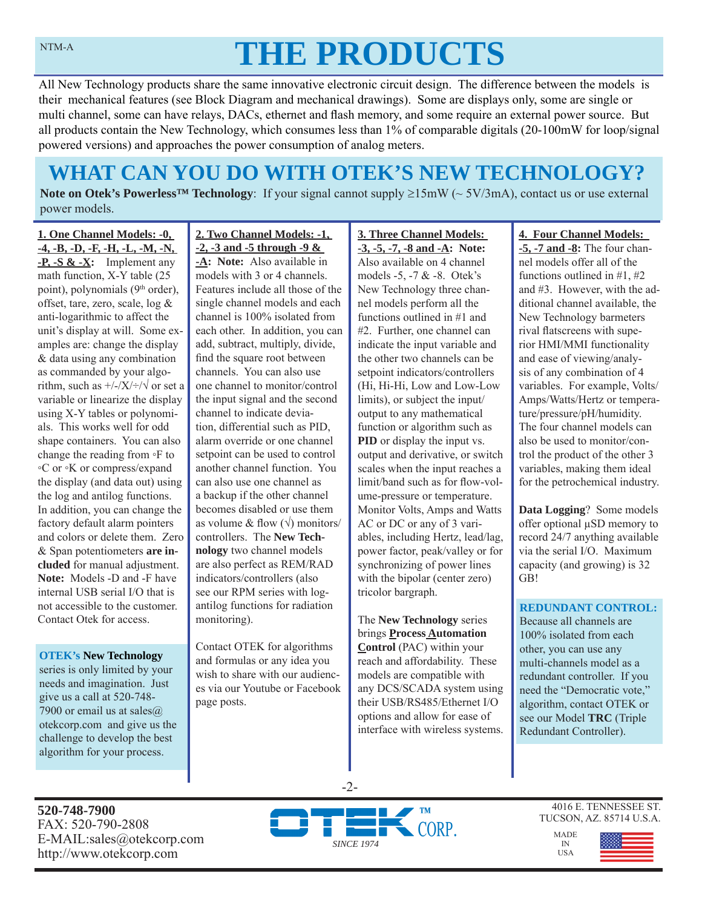# **THE PRODUCTS**

All New Technology products share the same innovative electronic circuit design. The difference between the models is their mechanical features (see Block Diagram and mechanical drawings). Some are displays only, some are single or multi channel, some can have relays, DACs, ethernet and flash memory, and some require an external power source. But all products contain the New Technology, which consumes less than 1% of comparable digitals (20-100mW for loop/signal powered versions) and approaches the power consumption of analog meters.

# **WHAT CAN YOU DO WITH OTEK'S NEW TECHNOLOGY?**

**Note on Otek's Powerless<sup>TM</sup> Technology**: If your signal cannot supply  $\geq 15 \text{mW}$  ( $\sim 5V/3 \text{mA}$ ), contact us or use external power models.

**1. One Channel Models: -0, -4, -B, -D, -F, -H, -L, -M, -N, -P, -S & -X:** Implement any math function, X-Y table (25 point), polynomials (9<sup>th</sup> order), offset, tare, zero, scale, log & anti-logarithmic to affect the unit's display at will. Some examples are: change the display & data using any combination as commanded by your algorithm, such as  $\frac{+}{-}\times\frac{+}{\sqrt{}}$  or set a variable or linearize the display using X-Y tables or polynomials. This works well for odd shape containers. You can also change the reading from ◦F to ◦C or ◦K or compress/expand the display (and data out) using the log and antilog functions. In addition, you can change the factory default alarm pointers and colors or delete them. Zero & Span potentiometers **are included** for manual adjustment. **Note:** Models -D and -F have internal USB serial I/O that is not accessible to the customer. Contact Otek for access.

#### **OTEK's New Technology**

series is only limited by your needs and imagination. Just give us a call at 520-748- 7900 or email us at sales $@$ . otekcorp.com and give us the challenge to develop the best algorithm for your process.

#### **2. Two Channel Models: -1, -2, -3 and -5 through -9 &**

**-A: Note:** Also available in models with 3 or 4 channels. Features include all those of the single channel models and each channel is 100% isolated from each other. In addition, you can add, subtract, multiply, divide, find the square root between channels. You can also use one channel to monitor/control the input signal and the second channel to indicate deviation, differential such as PID, alarm override or one channel setpoint can be used to control another channel function. You can also use one channel as a backup if the other channel becomes disabled or use them as volume & flow  $(\sqrt{})$  monitors/ controllers. The **New Technology** two channel models are also perfect as REM/RAD indicators/controllers (also see our RPM series with logantilog functions for radiation monitoring).

Contact OTEK for algorithms and formulas or any idea you wish to share with our audiences via our Youtube or Facebook page posts.

#### **3. Three Channel Models: -3, -5, -7, -8 and -A: Note:**  Also available on 4 channel models -5, -7 & -8. Otek's New Technology three channel models perform all the functions outlined in #1 and #2. Further, one channel can indicate the input variable and the other two channels can be setpoint indicators/controllers (Hi, Hi-Hi, Low and Low-Low limits), or subject the input/ output to any mathematical function or algorithm such as **PID** or display the input vs. output and derivative, or switch scales when the input reaches a limit/band such as for flow-volume-pressure or temperature. Monitor Volts, Amps and Watts AC or DC or any of 3 variables, including Hertz, lead/lag, power factor, peak/valley or for synchronizing of power lines with the bipolar (center zero) tricolor bargraph.

The **New Technology** series brings **Process Automation Control** (PAC) within your reach and affordability. These models are compatible with any DCS/SCADA system using their USB/RS485/Ethernet I/O options and allow for ease of interface with wireless systems.

#### **4. Four Channel Models:**

**-5, -7 and -8:** The four channel models offer all of the functions outlined in #1, #2 and #3. However, with the additional channel available, the New Technology barmeters rival flatscreens with superior HMI/MMI functionality and ease of viewing/analysis of any combination of 4 variables. For example, Volts/ Amps/Watts/Hertz or temperature/pressure/pH/humidity. The four channel models can also be used to monitor/control the product of the other 3 variables, making them ideal for the petrochemical industry.

**Data Logging**? Some models offer optional μSD memory to record 24/7 anything available via the serial I/O. Maximum capacity (and growing) is 32 GB!

#### **REDUNDANT CONTROL:**

Because all channels are 100% isolated from each other, you can use any multi-channels model as a redundant controller. If you need the "Democratic vote," algorithm, contact OTEK or see our Model **TRC** (Triple Redundant Controller).

**520-748-7900** FAX: 520-790-2808 E-MAIL:sales@otekcorp.com http://www.otekcorp.com



-2-

4016 E. TENNESSEE ST. TUCSON, AZ. 85714 U.S.A.

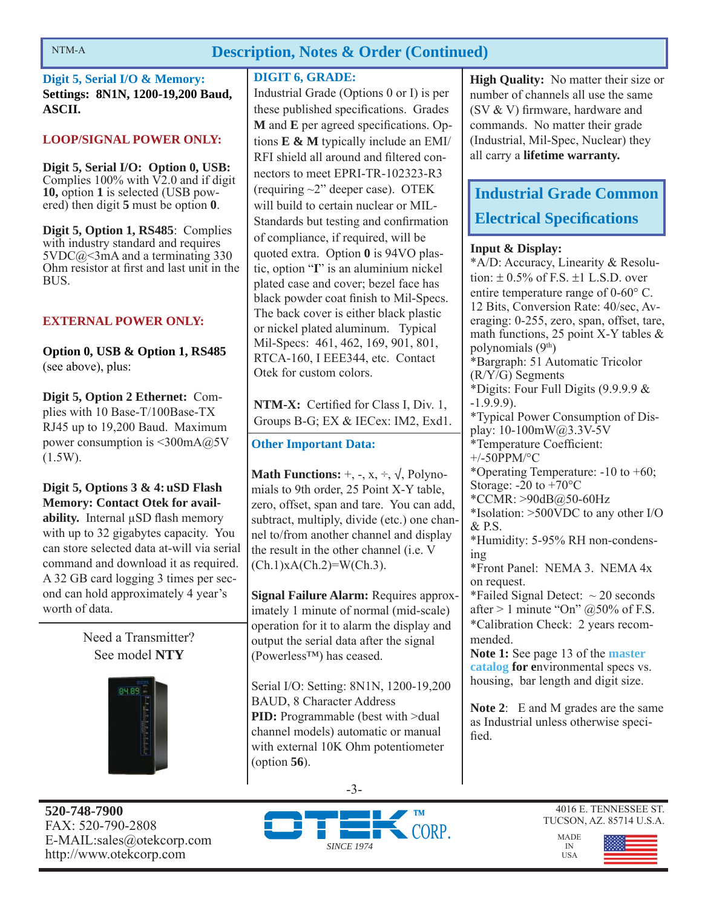# **Description, Notes & Order (Continued)**

**Digit 5, Serial I/O & Memory: Settings: 8N1N, 1200-19,200 Baud, ASCII.**

### **LOOP/SIGNAL POWER ONLY:**

**Digit 5, Serial I/O: Option 0, USB:**  Complies  $100\%$  with  $\nabla$ 2.0 and if digit **10,** option **1** is selected (USB powered) then digit **5** must be option **0**.

**Digit 5, Option 1, RS485**: Complies with industry standard and requires  $5VDC@<3mA$  and a terminating 330 Ohm resistor at first and last unit in the BUS.

# **EXTERNAL POWER ONLY:**

**Option 0, USB & Option 1, RS485**  (see above), plus:

**Digit 5, Option 2 Ethernet:** Complies with 10 Base-T/100Base-TX RJ45 up to 19,200 Baud. Maximum power consumption is  $\leq 300 \text{mA}$  ( $\partial$ <sub>25</sub>V)  $(1.5W)$ .

**Digit 5, Options 3 & 4: uSD Flash Memory: Contact Otek for availability.** Internal μSD flash memory with up to 32 gigabytes capacity. You can store selected data at-will via serial command and download it as required. A 32 GB card logging 3 times per second can hold approximately 4 year's worth of data.

> Need a Transmitter? See model **NTY**



### **DIGIT 6, GRADE:**

Industrial Grade (Options 0 or I) is per these published specifications. Grades **M** and **E** per agreed specifications. Options **E & M** typically include an EMI/ RFI shield all around and filtered connectors to meet EPRI-TR-102323-R3 (requiring ~2" deeper case). OTEK will build to certain nuclear or MIL-Standards but testing and confirmation of compliance, if required, will be quoted extra. Option **0** is 94VO plastic, option "**I**" is an aluminium nickel plated case and cover; bezel face has black powder coat finish to Mil-Specs. The back cover is either black plastic or nickel plated aluminum. Typical Mil-Specs: 461, 462, 169, 901, 801, RTCA-160, I EEE344, etc. Contact Otek for custom colors.

NTM-X: Certified for Class I, Div. 1, Groups B-G; EX & IECex: IM2, Exd1.

# **Other Important Data:**

**Math Functions:**  $+$ ,  $-$ ,  $x$ ,  $\div$ ,  $\sqrt{}$ , Polynomials to 9th order, 25 Point X-Y table, zero, offset, span and tare. You can add, subtract, multiply, divide (etc.) one channel to/from another channel and display the result in the other channel (i.e. V  $(Ch.1)xA(Ch.2)=W(Ch.3)$ .

**Signal Failure Alarm:** Requires approximately 1 minute of normal (mid-scale) operation for it to alarm the display and output the serial data after the signal (Powerless™) has ceased.

Serial I/O: Setting: 8N1N, 1200-19,200 BAUD, 8 Character Address **PID:** Programmable (best with >dual channel models) automatic or manual with external 10K Ohm potentiometer (option **56**).

**High Quality:** No matter their size or number of channels all use the same  $(SV & V)$  firmware, hardware and commands. No matter their grade (Industrial, Mil-Spec, Nuclear) they all carry a **lifetime warranty.**

# **Industrial Grade Common Electrical Specifi cations**

### **Input & Display:**

\*A/D: Accuracy, Linearity & Resolution:  $\pm$  0.5% of F.S.  $\pm$ 1 L.S.D. over entire temperature range of  $0\n-60^{\circ}$  C. 12 Bits, Conversion Rate: 40/sec, Averaging: 0-255, zero, span, offset, tare, math functions, 25 point X-Y tables & polynomials  $(9<sup>th</sup>)$ \*Bargraph: 51 Automatic Tricolor (R/Y/G) Segments \*Digits: Four Full Digits (9.9.9.9 & -1.9.9.9). \*Typical Power Consumption of Display: 10-100mW@3.3V-5V \*Temperature Coefficient: +/-50PPM/°C \*Operating Temperature: -10 to +60; Storage:  $-20$  to  $+70^{\circ}$ C \*CCMR: >90dB@50-60Hz \*Isolation: >500VDC to any other I/O & P.S. \*Humidity: 5-95% RH non-condensing \*Front Panel: NEMA 3. NEMA 4x on request. \*Failed Signal Detect:  $\sim$  20 seconds after  $> 1$  minute "On"  $@50\%$  of F.S. \*Calibration Check: 2 years recommended. **Note 1:** See page 13 of the **master catalog for e**nvironmental specs vs. housing, bar length and digit size.

**Note 2**: E and M grades are the same as Industrial unless otherwise specified.

**520-748-7900** FAX: 520-790-2808 E-MAIL:sales@otekcorp.com http://www.otekcorp.com



-3-



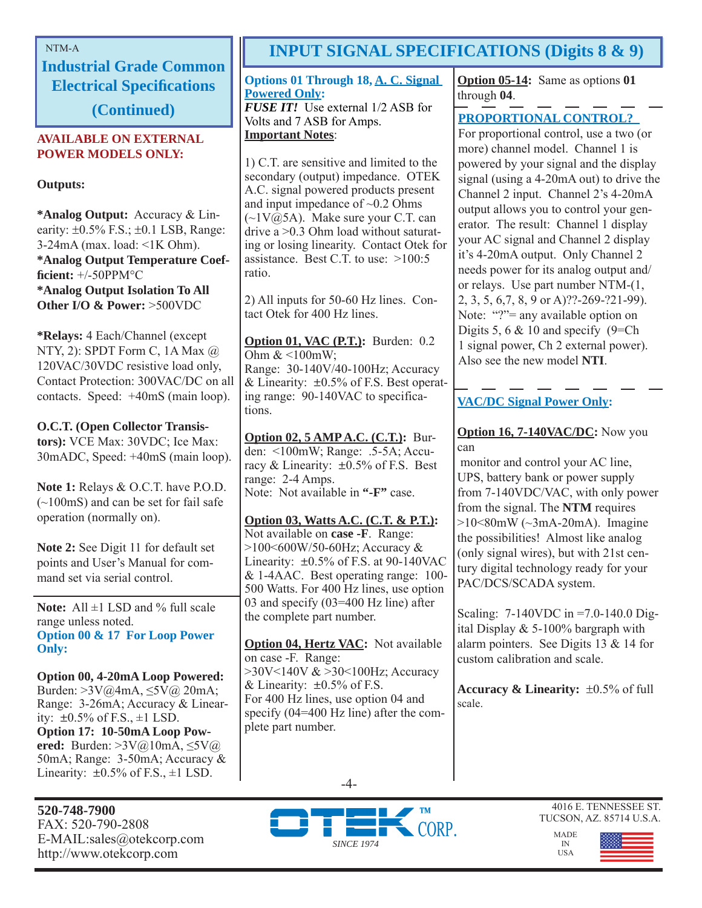**Industrial Grade Common Electrical Specifications** 

**(Continued)**

# **AVAILABLE ON EXTERNAL POWER MODELS ONLY:**

**Outputs:**

**\*Analog Output:** Accuracy & Linearity:  $\pm 0.5\%$  F.S.;  $\pm 0.1$  LSB, Range:  $3-24mA$  (max. load:  $\leq 1K$  Ohm). **\*Analog Output Temperature Coeffi cient:** +/-50PPM°C **\*Analog Output Isolation To All Other I/O & Power:** >500VDC

**\*Relays:** 4 Each/Channel (except NTY, 2): SPDT Form C, 1A Max @ 120VAC/30VDC resistive load only, Contact Protection: 300VAC/DC on all contacts. Speed: +40mS (main loop).

# **O.C.T. (Open Collector Transis-**

**tors):** VCE Max: 30VDC; Ice Max: 30mADC, Speed: +40mS (main loop).

**Note 1:** Relays & O.C.T. have P.O.D. (~100mS) and can be set for fail safe operation (normally on).

**Note 2:** See Digit 11 for default set points and User's Manual for command set via serial control.

Note: All  $\pm$ 1 LSD and % full scale range unless noted. **Option 00 & 17 For Loop Power Only:**

**Option 00, 4-20mA Loop Powered:**  Burden: >3V@4mA, ≤5V@ 20mA; Range: 3-26mA; Accuracy & Linearity:  $\pm 0.5\%$  of F.S.,  $\pm 1$  LSD. **Option 17: 10-50mA Loop Powered:** Burden: >3V@10mA, ≤5V@ 50mA; Range: 3-50mA; Accuracy & Linearity:  $\pm 0.5\%$  of F.S.,  $\pm 1$  LSD.

**520-748-7900** FAX: 520-790-2808 E-MAIL:sales@otekcorp.com http://www.otekcorp.com

# NTM-A **INPUT SIGNAL SPECIFICATIONS (Digits 8 & 9)**

**Options 01 Through 18, A. C. Signal Powered Only:** *FUSE IT!* Use external  $1/2$  ASB for Volts and 7 ASB for Amps.

# **Important Notes**:

1) C.T. are sensitive and limited to the secondary (output) impedance. OTEK A.C. signal powered products present and input impedance of  $\sim 0.2$  Ohms  $(\sim 1 \text{V} \text{@} 5 \text{A})$ . Make sure your C.T. can drive a >0.3 Ohm load without saturating or losing linearity. Contact Otek for assistance. Best C.T. to use: >100:5 ratio.

2) All inputs for 50-60 Hz lines. Contact Otek for 400 Hz lines.

**Option 01, VAC (P.T.):** Burden: 0.2 Ohm  $<100$ mW; Range: 30-140V/40-100Hz; Accuracy & Linearity:  $\pm 0.5\%$  of F.S. Best operating range: 90-140VAC to specifications.

**Option 02, 5 AMP A.C. (C.T.):** Burden: <100mW; Range: .5-5A; Accuracy & Linearity:  $\pm 0.5\%$  of F.S. Best range: 2-4 Amps. Note: Not available in **"-F"** case.

**Option 03, Watts A.C. (C.T. & P.T.):** Not available on **case -F**. Range: >100<600W/50-60Hz; Accuracy & Linearity:  $\pm 0.5\%$  of F.S. at 90-140VAC & 1-4AAC. Best operating range: 100- 500 Watts. For 400 Hz lines, use option 03 and specify (03=400 Hz line) after the complete part number.

**Option 04, Hertz VAC:** Not available on case -F. Range: >30V<140V & >30<100Hz; Accuracy & Linearity:  $\pm 0.5\%$  of F.S. For 400 Hz lines, use option 04 and specify (04=400 Hz line) after the complete part number.

**Option 05-14:** Same as options **01** through **04**.

# **PROPORTIONAL CONTROL?**

For proportional control, use a two (or more) channel model. Channel 1 is powered by your signal and the display signal (using a 4-20mA out) to drive the Channel 2 input. Channel 2's 4-20mA output allows you to control your generator. The result: Channel 1 display your AC signal and Channel 2 display it's 4-20mA output. Only Channel 2 needs power for its analog output and/ or relays. Use part number NTM-(1, 2, 3, 5, 6,7, 8, 9 or A)??-269-?21-99). Note: "?"= any available option on Digits 5, 6  $& 10$  and specify (9=Ch) 1 signal power, Ch 2 external power). Also see the new model **NTI**.

# **VAC/DC Signal Power Only:**

### **Option 16, 7-140VAC/DC:** Now you can

 monitor and control your AC line, UPS, battery bank or power supply from 7-140VDC/VAC, with only power from the signal. The **NTM** requires  $>10<80$ mW ( $\sim$ 3mA-20mA). Imagine the possibilities! Almost like analog (only signal wires), but with 21st century digital technology ready for your PAC/DCS/SCADA system.

Scaling: 7-140VDC in =7.0-140.0 Digital Display & 5-100% bargraph with alarm pointers. See Digits 13 & 14 for custom calibration and scale.

**Accuracy & Linearity:**  $\pm 0.5\%$  of full scale.





4016 E. TENNESSEE ST. TUCSON, AZ. 85714 U.S.A.



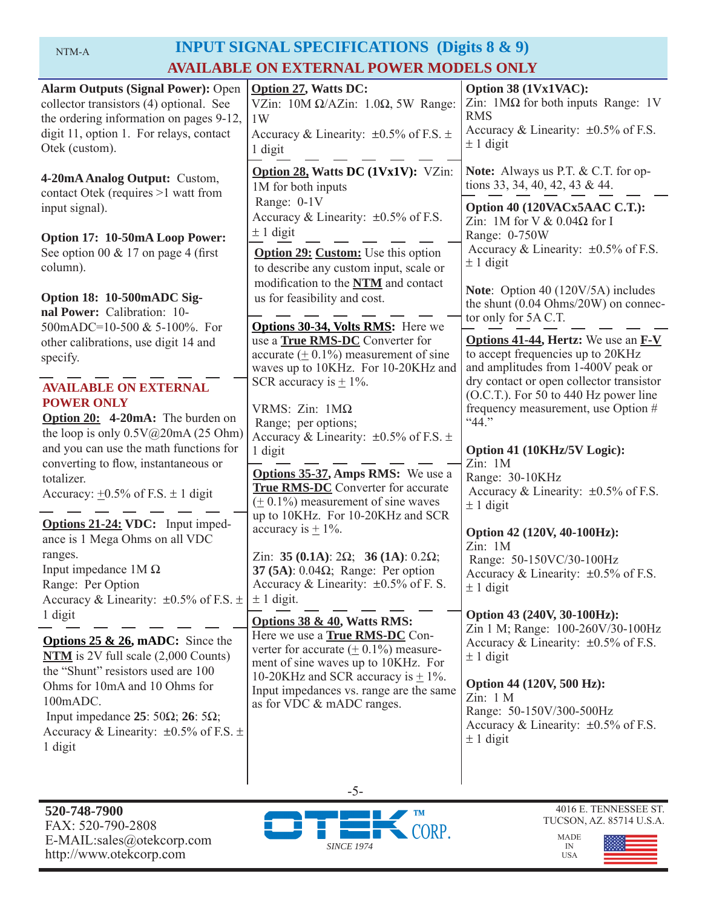|--|

# INPUT SIGNAL SPECIFICATIONS (Digits 8 & 9) **AVAILABLE ON EXTERNAL POWER MODELS ONLY**

| <b>Alarm Outputs (Signal Power): Open</b><br>collector transistors (4) optional. See<br>the ordering information on pages 9-12,<br>digit 11, option 1. For relays, contact<br>Otek (custom).<br>4-20mA Analog Output: Custom,<br>contact Otek (requires >1 watt from<br>input signal).<br>Option 17: 10-50mA Loop Power:<br>See option 00 $& 17$ on page 4 (first)<br>column).<br>Option 18: 10-500mADC Sig-<br>nal Power: Calibration: 10-<br>500mADC=10-500 & 5-100%. For<br>other calibrations, use digit 14 and<br>specify.<br><b>AVAILABLE ON EXTERNAL</b><br><b>POWER ONLY</b><br><b>Option 20:</b> 4-20mA: The burden on<br>the loop is only $0.5V@20mA(25 Ohm)$<br>and you can use the math functions for<br>converting to flow, instantaneous or | <b>Option 27, Watts DC:</b><br>VZin: $10M \Omega/AZ$ in: $1.0\Omega$ , 5W Range:<br>1W<br>Accuracy & Linearity: $\pm 0.5\%$ of F.S. $\pm$<br>1 digit<br>Option 28, Watts DC (1Vx1V): VZin:<br>1M for both inputs<br>Range: 0-1V<br>Accuracy & Linearity: $\pm 0.5\%$ of F.S.<br>$\pm$ 1 digit<br><b>Option 29: Custom:</b> Use this option<br>to describe any custom input, scale or<br>modification to the NTM and contact<br>us for feasibility and cost.<br><b>Options 30-34, Volts RMS:</b> Here we<br>use a True RMS-DC Converter for<br>accurate $(± 0.1\%)$ measurement of sine<br>waves up to 10KHz. For 10-20KHz and<br>SCR accuracy is $\pm$ 1%.<br>VRMS: $Zin$ : $1M\Omega$<br>Range; per options;<br>Accuracy & Linearity: $\pm 0.5\%$ of F.S. $\pm$<br>1 digit | Option 38 (1Vx1VAC):<br>Zin: $1\text{M}\Omega$ for both inputs Range: 1V<br><b>RMS</b><br>Accuracy & Linearity: $\pm 0.5\%$ of F.S.<br>$\pm$ 1 digit<br><b>Note:</b> Always us P.T. & C.T. for op-<br>tions 33, 34, 40, 42, 43 & 44.<br>Option 40 (120VACx5AAC C.T.):<br>Zin: 1M for V & $0.04\Omega$ for I<br>Range: 0-750W<br>Accuracy & Linearity: ±0.5% of F.S.<br>$\pm$ 1 digit<br>Note: Option 40 (120V/5A) includes<br>the shunt $(0.04 \text{ Ohms}/20W)$ on connec-<br>tor only for 5A C.T.<br><b>Options 41-44, Hertz:</b> We use an <b>F-V</b><br>to accept frequencies up to 20KHz<br>and amplitudes from 1-400V peak or<br>dry contact or open collector transistor<br>(O.C.T.). For 50 to 440 Hz power line<br>frequency measurement, use Option #<br>``44."<br>Option 41 (10KHz/5V Logic):<br>Zin: 1M |
|-----------------------------------------------------------------------------------------------------------------------------------------------------------------------------------------------------------------------------------------------------------------------------------------------------------------------------------------------------------------------------------------------------------------------------------------------------------------------------------------------------------------------------------------------------------------------------------------------------------------------------------------------------------------------------------------------------------------------------------------------------------|-----------------------------------------------------------------------------------------------------------------------------------------------------------------------------------------------------------------------------------------------------------------------------------------------------------------------------------------------------------------------------------------------------------------------------------------------------------------------------------------------------------------------------------------------------------------------------------------------------------------------------------------------------------------------------------------------------------------------------------------------------------------------------|----------------------------------------------------------------------------------------------------------------------------------------------------------------------------------------------------------------------------------------------------------------------------------------------------------------------------------------------------------------------------------------------------------------------------------------------------------------------------------------------------------------------------------------------------------------------------------------------------------------------------------------------------------------------------------------------------------------------------------------------------------------------------------------------------------------------|
| totalizer.<br>Accuracy: $\pm 0.5\%$ of F.S. $\pm 1$ digit<br>Options 21-24: VDC: Input imped-<br>ance is 1 Mega Ohms on all VDC<br>ranges.<br>Input impedance $1M\Omega$<br>Range: Per Option<br>Accuracy & Linearity: $\pm 0.5\%$ of F.S. $\pm$<br>1 digit<br><b>Options 25 &amp; 26, mADC:</b> Since the<br>$NTM$ is 2V full scale $(2,000$ Counts)<br>the "Shunt" resistors used are 100<br>Ohms for 10mA and 10 Ohms for<br>100mADC.<br>Input impedance $25:50\Omega$ ; $26:5\Omega$ ;<br>Accuracy & Linearity: $\pm 0.5\%$ of F.S. $\pm$<br>1 digit                                                                                                                                                                                                  | <b>Options 35-37, Amps RMS:</b> We use a<br><b>True RMS-DC</b> Converter for accurate<br>$(± 0.1%)$ measurement of sine waves<br>up to 10KHz. For 10-20KHz and SCR<br>accuracy is $\pm$ 1%.<br>Zin: 35 (0.1A): $2\Omega$ ; 36 (1A): 0.2 $\Omega$ ;<br>37 (5A): $0.04\Omega$ ; Range: Per option<br>Accuracy & Linearity: $\pm 0.5\%$ of F. S<br>$\pm$ 1 digit.<br>Options 38 & 40, Watts RMS:<br>Here we use a <b>True RMS-DC</b> Con-<br>verter for accurate $(± 0.1%)$ measure-<br>ment of sine waves up to 10KHz. For<br>10-20KHz and SCR accuracy is $\pm$ 1%.<br>Input impedances vs. range are the same<br>as for VDC & mADC ranges.                                                                                                                                  | Range: 30-10KHz<br>Accuracy & Linearity: $\pm 0.5\%$ of F.S.<br>$\pm$ 1 digit<br>Option 42 (120V, 40-100Hz):<br>Zin: 1M<br>Range: 50-150VC/30-100Hz<br>Accuracy & Linearity: $\pm 0.5\%$ of F.S.<br>$\pm$ 1 digit<br>Option 43 (240V, 30-100Hz):<br>Zin 1 M; Range: 100-260V/30-100Hz<br>Accuracy & Linearity: $\pm 0.5\%$ of F.S.<br>$\pm$ 1 digit<br>Option 44 (120V, 500 Hz):<br>Zin: 1 M<br>Range: 50-150V/300-500Hz<br>Accuracy & Linearity: $\pm 0.5\%$ of F.S.<br>$\pm$ 1 digit                                                                                                                                                                                                                                                                                                                               |



-5-



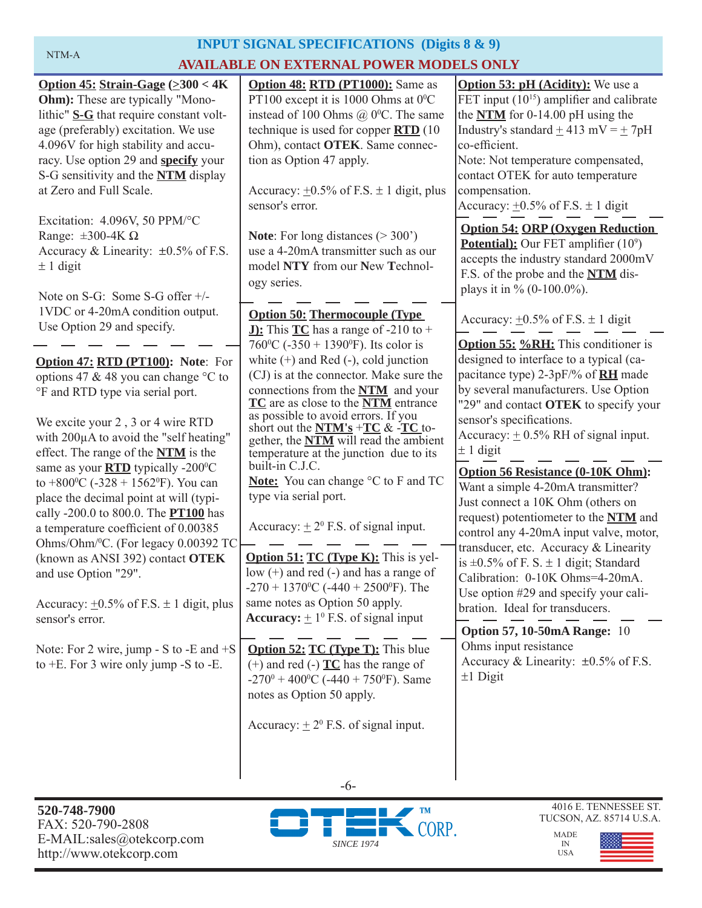# **INPUT SIGNAL SPECIFICATIONS (Digits 8 & 9) NTM-A AVAILABLE ON EXTERNAL POWER MODELS ONLY**

| Option 45: Strain-Gage $(\geq 300 < 4K$                      | Option 48: RTD (PT1000): Same as                                                      | <b>Option 53: pH</b> (Acidity): We use a        |
|--------------------------------------------------------------|---------------------------------------------------------------------------------------|-------------------------------------------------|
| <b>Ohm</b> ): These are typically "Mono-                     | PT100 except it is 1000 Ohms at $0^{\circ}$ C                                         | FET input $(10^{15})$ amplifier and calibrate   |
| lithic" S-G that require constant volt-                      | instead of 100 Ohms $(a)$ 0°C. The same                                               | the $NTM$ for 0-14.00 pH using the              |
| age (preferably) excitation. We use                          | technique is used for copper $\overline{RTD}$ (10                                     | Industry's standard $\pm$ 413 mV = $\pm$ 7pH    |
| 4.096V for high stability and accu-                          | Ohm), contact OTEK. Same connec-                                                      | co-efficient.                                   |
| racy. Use option 29 and <b>specify</b> your                  | tion as Option 47 apply.                                                              | Note: Not temperature compensated,              |
| S-G sensitivity and the <b>NTM</b> display                   |                                                                                       | contact OTEK for auto temperature               |
| at Zero and Full Scale.                                      | Accuracy: $\pm 0.5\%$ of F.S. $\pm$ 1 digit, plus                                     | compensation.                                   |
|                                                              | sensor's error.                                                                       | Accuracy: $\pm 0.5\%$ of F.S. $\pm$ 1 digit     |
| Excitation: 4.096V, 50 PPM/°C                                |                                                                                       | <b>Option 54: ORP (Oxygen Reduction)</b>        |
| Range: $\pm 300 - 4K \Omega$                                 | <b>Note:</b> For long distances $(>300)$                                              | <b>Potential):</b> Our FET amplifier $(10^9)$   |
| Accuracy & Linearity: $\pm 0.5\%$ of F.S.                    | use a 4-20mA transmitter such as our                                                  | accepts the industry standard 2000mV            |
| $\pm$ 1 digit                                                | model NTY from our New Technol-                                                       | F.S. of the probe and the <b>NTM</b> dis-       |
|                                                              | ogy series.                                                                           | plays it in $\%$ (0-100.0%).                    |
| Note on S-G: Some S-G offer $+/-$                            |                                                                                       |                                                 |
| 1VDC or 4-20mA condition output.                             | <b>Option 50: Thermocouple (Type)</b>                                                 | Accuracy: $\pm 0.5\%$ of F.S. $\pm$ 1 digit     |
| Use Option 29 and specify.                                   | <b>J):</b> This $TC$ has a range of -210 to +                                         |                                                 |
|                                                              | 760 <sup>o</sup> C (-350 + 1390 <sup>o</sup> F). Its color is                         | <b>Option 55: %RH:</b> This conditioner is      |
| Option 47: RTD (PT100): Note: For                            | white $(+)$ and Red $(-)$ , cold junction                                             | designed to interface to a typical (ca-         |
| options 47 & 48 you can change °C to                         | (CJ) is at the connector. Make sure the                                               | pacitance type) 2-3pF/% of <b>RH</b> made       |
| °F and RTD type via serial port.                             | connections from the NTM and your                                                     | by several manufacturers. Use Option            |
|                                                              | TC are as close to the NTM entrance<br>as possible to avoid errors. If you            | "29" and contact OTEK to specify your           |
| We excite your 2, 3 or 4 wire RTD                            | short out the $NTM's + TC & FC$ to-                                                   | sensor's specifications.                        |
| with 200µA to avoid the "self heating"                       | gether, the <b>NTM</b> will read the ambient                                          | Accuracy: $\pm$ 0.5% RH of signal input.        |
| effect. The range of the <b>NTM</b> is the                   | temperature at the junction due to its                                                | $\pm$ 1 digit                                   |
| same as your $\overline{RTD}$ typically -200 $\degree$ C     | built-in C.J.C.                                                                       | <b>Option 56 Resistance (0-10K Ohm):</b>        |
| to +800 <sup>o</sup> C (-328 + 1562 <sup>o</sup> F). You can | Note: You can change °C to F and TC                                                   | Want a simple 4-20mA transmitter?               |
| place the decimal point at will (typi-                       | type via serial port.                                                                 | Just connect a 10K Ohm (others on               |
| cally -200.0 to 800.0. The <b>PT100</b> has                  |                                                                                       | request) potentiometer to the NTM and           |
| a temperature coefficient of 0.00385                         | Accuracy: $\pm 2^0$ F.S. of signal input.                                             | control any 4-20mA input valve, motor,          |
| Ohms/Ohm/ <sup>0</sup> C. (For legacy 0.00392 TC             |                                                                                       | transducer, etc. Accuracy & Linearity           |
| (known as ANSI 392) contact OTEK                             | <b>Option 51: TC (Type K):</b> This is yel-<br>low (+) and red (-) and has a range of | is $\pm 0.5\%$ of F. S. $\pm$ 1 digit; Standard |
| and use Option "29".                                         | $-270 + 1370$ <sup>o</sup> C ( $-440 + 2500$ <sup>o</sup> F). The                     | Calibration: 0-10K Ohms=4-20mA.                 |
| Accuracy: $+0.5\%$ of F.S. $\pm$ 1 digit, plus               | same notes as Option 50 apply.                                                        | Use option #29 and specify your cali-           |
| sensor's error.                                              | <b>Accuracy:</b> $\pm 1^0$ F.S. of signal input                                       | bration. Ideal for transducers.                 |
|                                                              |                                                                                       | <b>Option 57, 10-50mA Range: 10</b>             |
| Note: For 2 wire, jump - S to -E and $+S$                    | <b>Option 52: TC (Type T):</b> This blue                                              | Ohms input resistance                           |
| to $+E$ . For 3 wire only jump -S to -E.                     | $(+)$ and red $(-)$ $\underline{TC}$ has the range of                                 | Accuracy & Linearity: ±0.5% of F.S.             |
|                                                              | $-270^{\circ} + 400^{\circ}$ C ( $-440 + 750^{\circ}$ F). Same                        | $±1$ Digit                                      |
|                                                              | notes as Option 50 apply.                                                             |                                                 |
|                                                              |                                                                                       |                                                 |
|                                                              | Accuracy: $\pm 2^0$ F.S. of signal input.                                             |                                                 |
|                                                              |                                                                                       |                                                 |



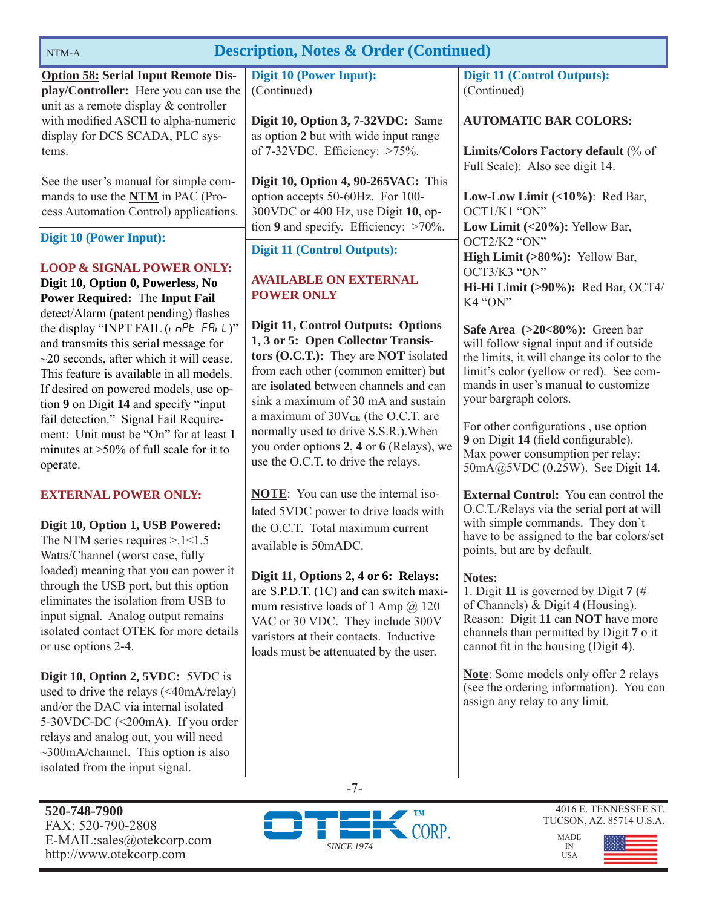| <b>Description, Notes &amp; Order (Continued)</b><br>NTM-A                                                                                                                                 |                                                                                                                                                                    |                                                                                                                                                                         |  |  |
|--------------------------------------------------------------------------------------------------------------------------------------------------------------------------------------------|--------------------------------------------------------------------------------------------------------------------------------------------------------------------|-------------------------------------------------------------------------------------------------------------------------------------------------------------------------|--|--|
| <b>Option 58: Serial Input Remote Dis-</b>                                                                                                                                                 | <b>Digit 10 (Power Input):</b>                                                                                                                                     | <b>Digit 11 (Control Outputs):</b>                                                                                                                                      |  |  |
| play/Controller: Here you can use the<br>unit as a remote display & controller                                                                                                             | (Continued)                                                                                                                                                        | (Continued)                                                                                                                                                             |  |  |
| with modified ASCII to alpha-numeric                                                                                                                                                       | Digit 10, Option 3, 7-32VDC: Same                                                                                                                                  | <b>AUTOMATIC BAR COLORS:</b>                                                                                                                                            |  |  |
| display for DCS SCADA, PLC sys-<br>tems.                                                                                                                                                   | as option 2 but with wide input range<br>of $7-32$ VDC. Efficiency: $>75\%$ .                                                                                      | Limits/Colors Factory default (% of<br>Full Scale): Also see digit 14.                                                                                                  |  |  |
| See the user's manual for simple com-<br>mands to use the <b>NTM</b> in PAC (Pro-<br>cess Automation Control) applications.                                                                | <b>Digit 10, Option 4, 90-265VAC:</b> This<br>option accepts 50-60Hz. For 100-<br>300VDC or 400 Hz, use Digit 10, op-<br>tion 9 and specify. Efficiency: $>70\%$ . | Low-Low Limit $(<10\%$ ): Red Bar,<br>OCT1/K1 "ON"<br>Low Limit $(<20\%)$ : Yellow Bar,                                                                                 |  |  |
| <b>Digit 10 (Power Input):</b>                                                                                                                                                             | <b>Digit 11 (Control Outputs):</b>                                                                                                                                 | OCT2/K2 "ON"<br>High Limit (>80%): Yellow Bar,                                                                                                                          |  |  |
| <b>LOOP &amp; SIGNAL POWER ONLY:</b><br>Digit 10, Option 0, Powerless, No<br><b>Power Required: The Input Fail</b><br>detect/Alarm (patent pending) flashes                                | <b>AVAILABLE ON EXTERNAL</b><br><b>POWER ONLY</b>                                                                                                                  | OCT3/K3 "ON"<br>Hi-Hi Limit (>90%): Red Bar, OCT4/<br>K4 "ON"                                                                                                           |  |  |
| the display "INPT FAIL $(n \cap P_E \cap F_n   L)$ "<br>and transmits this serial message for<br>$\sim$ 20 seconds, after which it will cease.<br>This feature is available in all models. | Digit 11, Control Outputs: Options<br>1, 3 or 5: Open Collector Transis-<br>tors (O.C.T.): They are NOT isolated<br>from each other (common emitter) but           | Safe Area $(>20<80\%)$ : Green bar<br>will follow signal input and if outside<br>the limits, it will change its color to the<br>limit's color (yellow or red). See com- |  |  |

are **isolated** between channels and can sink a maximum of 30 mA and sustain a maximum of  $30V_{CE}$  (the O.C.T. are normally used to drive S.S.R.).When you order options **2**, **4** or **6** (Relays), we use the O.C.T. to drive the relays.

**NOTE**: You can use the internal isolated 5VDC power to drive loads with the O.C.T. Total maximum current

**Digit 11, Options 2, 4 or 6: Relays:** are S.P.D.T. (1C) and can switch maximum resistive loads of 1 Amp  $(a)$  120 VAC or 30 VDC. They include 300V varistors at their contacts. Inductive loads must be attenuated by the user.

available is 50mADC.

This feature is available in all models. If desired on powered models, use option **9** on Digit **14** and specify "input fail detection." Signal Fail Requirement: Unit must be "On" for at least 1 minutes at >50% of full scale for it to operate.

#### **EXTERNAL POWER ONLY:**

**Digit 10, Option 1, USB Powered:** 

The NTM series requires > 1 < 1.5 Watts/Channel (worst case, fully loaded) meaning that you can power it through the USB port, but this option eliminates the isolation from USB to input signal. Analog output remains isolated contact OTEK for more details or use options 2-4.

**Digit 10, Option 2, 5VDC:** 5VDC is used to drive the relays  $(\leq 40 \text{mA/relay})$ and/or the DAC via internal isolated 5-30VDC-DC (<200mA). If you order relays and analog out, you will need  $\sim$ 300mA/channel. This option is also isolated from the input signal.

**520-748-7900** FAX: 520-790-2808 E-MAIL:sales@otekcorp.com http://www.otekcorp.com



4016 E. TENNESSEE ST. TUCSON, AZ. 85714 U.S.A.

MADE IN USA



mands in user's manual to customize

For other configurations, use option **9** on Digit **14** (field configurable). Max power consumption per relay: 50mA@5VDC (0.25W). See Digit **14**.

**External Control:** You can control the O.C.T./Relays via the serial port at will with simple commands. They don't have to be assigned to the bar colors/set

1. Digit **11** is governed by Digit **7** (# of Channels) & Digit **4** (Housing). Reason: Digit **11** can **NOT** have more channels than permitted by Digit **7** o it cannot fit in the housing (Digit 4).

**Note**: Some models only offer 2 relays (see the ordering information). You can

assign any relay to any limit.

your bargraph colors.

points, but are by default.

**Notes:** 

-7-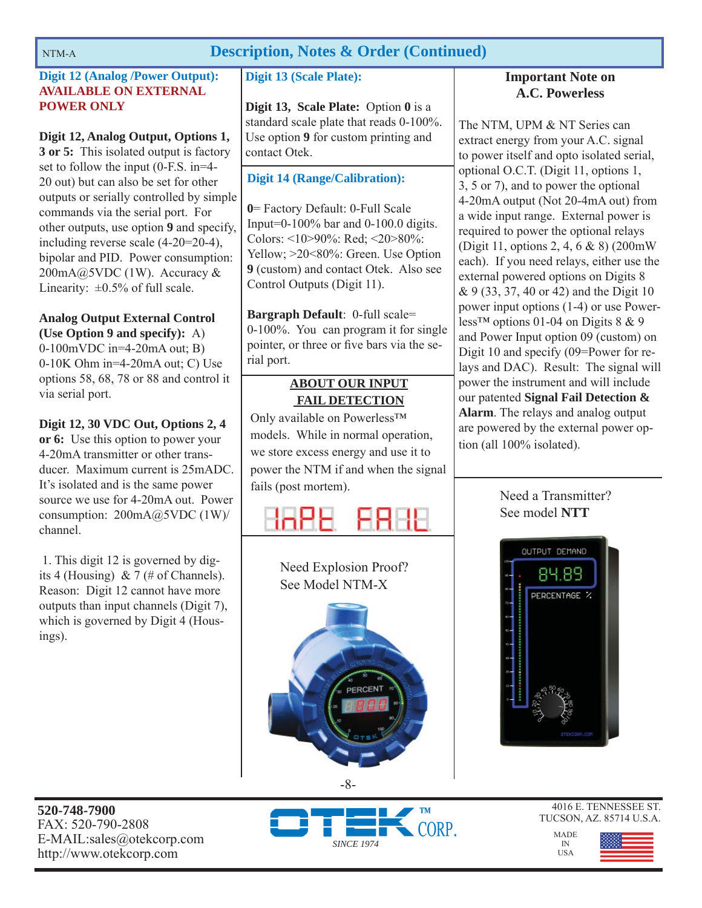# NTM-A **Description, Notes & Order (Continued)**

# **Digit 12 (Analog /Power Output): AVAILABLE ON EXTERNAL POWER ONLY**

**Digit 12, Analog Output, Options 1, 3 or 5:** This isolated output is factory set to follow the input (0-F.S. in=4- 20 out) but can also be set for other outputs or serially controlled by simple commands via the serial port. For other outputs, use option **9** and specify, including reverse scale (4-20=20-4), bipolar and PID. Power consumption: 200mA@5VDC (1W). Accuracy & Linearity:  $\pm 0.5\%$  of full scale.

**Analog Output External Control (Use Option 9 and specify):** A) 0-100mVDC in=4-20mA out; B) 0-10K Ohm in=4-20mA out; C) Use options 58, 68, 78 or 88 and control it via serial port.

**Digit 12, 30 VDC Out, Options 2, 4 or 6:** Use this option to power your 4-20mA transmitter or other transducer. Maximum current is 25mADC. It's isolated and is the same power source we use for 4-20mA out. Power consumption: 200mA@5VDC (1W)/ channel.

 1. This digit 12 is governed by digits 4 (Housing) & 7 (# of Channels). Reason: Digit 12 cannot have more outputs than input channels (Digit 7), which is governed by Digit 4 (Housings).

# **Digit 13 (Scale Plate):**

**Digit 13, Scale Plate:** Option **0** is a standard scale plate that reads 0-100%. Use option **9** for custom printing and contact Otek.

# **Digit 14 (Range/Calibration):**

**0**= Factory Default: 0-Full Scale Input=0-100% bar and 0-100.0 digits. Colors: <10>90%: Red; <20>80%: Yellow; >20<80%: Green. Use Option **9** (custom) and contact Otek. Also see Control Outputs (Digit 11).

**Bargraph Default**: 0-full scale= 0-100%. You can program it for single pointer, or three or five bars via the serial port.

# **ABOUT OUR INPUT FAIL DETECTION**

Only available on Powerless™ models. While in normal operation, we store excess energy and use it to power the NTM if and when the signal fails (post mortem).

# FRIL



# **Important Note on A.C. Powerless**

The NTM, UPM & NT Series can extract energy from your A.C. signal to power itself and opto isolated serial, optional O.C.T. (Digit 11, options 1, 3, 5 or 7), and to power the optional 4-20mA output (Not 20-4mA out) from a wide input range. External power is required to power the optional relays (Digit 11, options 2, 4, 6 & 8) (200mW each). If you need relays, either use the external powered options on Digits 8 & 9 (33, 37, 40 or 42) and the Digit 10 power input options (1-4) or use Powerless<sup>™</sup> options 01-04 on Digits  $8 \& 9$ and Power Input option 09 (custom) on Digit 10 and specify (09=Power for relays and DAC). Result: The signal will power the instrument and will include our patented **Signal Fail Detection & Alarm**. The relays and analog output are powered by the external power option (all 100% isolated).

# Need a Transmitter? See model **NTT**



**520-748-7900** FAX: 520-790-2808 E-MAIL:sales@otekcorp.com http://www.otekcorp.com



-8-

4016 E. TENNESSEE ST. TUCSON, AZ. 85714 U.S.A.

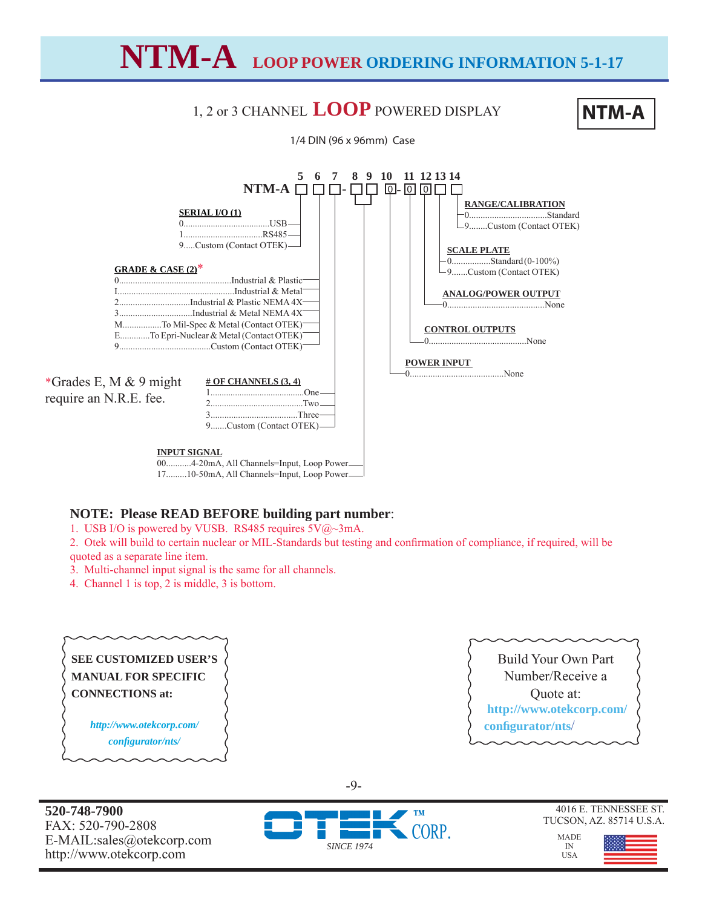# **NTM-A LOOP POWER ORDERING INFORMATION 5-1-17**

# 1, 2 or 3 CHANNEL **LOOP** POWERED DISPLAY **NTM-A**





17.........10-50mA, All Channels=Input, Loop Power

# **NOTE: Please READ BEFORE building part number**:

1. USB I/O is powered by VUSB. RS485 requires 5V@~3mA.

2. Otek will build to certain nuclear or MIL-Standards but testing and confirmation of compliance, if required, will be quoted as a separate line item.

3. Multi-channel input signal is the same for all channels.

4. Channel 1 is top, 2 is middle, 3 is bottom.

### **SEE CUSTOMIZED USER'S MANUAL FOR SPECIFIC CONNECTIONS at:**

*http://www.otekcorp.com/ confi gurator/nts/*

**520-748-7900** FAX: 520-790-2808 E-MAIL:sales@otekcorp.com http://www.otekcorp.com



Build Your Own Part Number/Receive a Quote at:  **http://www.otekcorp.com/ confi gurator/nts**/



4016 E. TENNESSEE ST. TUCSON, AZ. 85714 U.S.A.

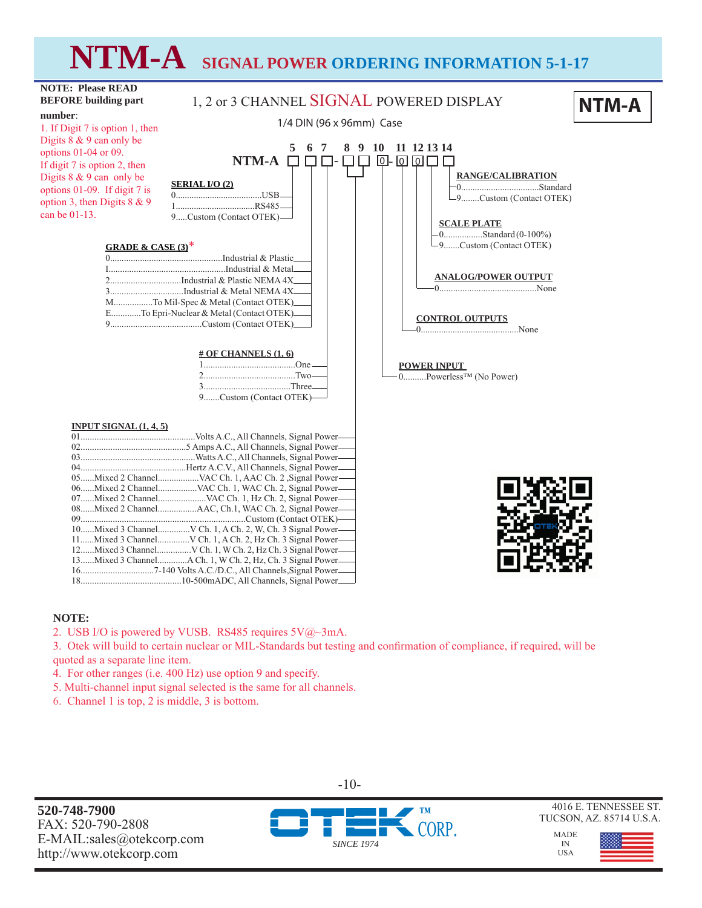# **NTM-A SIGNAL POWER ORDERING INFORMATION 5-1-17**



#### **NOTE:**

2. USB I/O is powered by VUSB. RS485 requires  $5V@\sim 3mA$ .

3. Otek will build to certain nuclear or MIL-Standards but testing and confirmation of compliance, if required, will be quoted as a separate line item.

- 4. For other ranges (i.e. 400 Hz) use option 9 and specify.
- 5. Multi-channel input signal selected is the same for all channels.
- 6. Channel 1 is top, 2 is middle, 3 is bottom.

**520-748-7900** FAX: 520-790-2808 E-MAIL:sales@otekcorp.com http://www.otekcorp.com



-10-

4016 E. TENNESSEE ST. TUCSON, AZ. 85714 U.S.A.

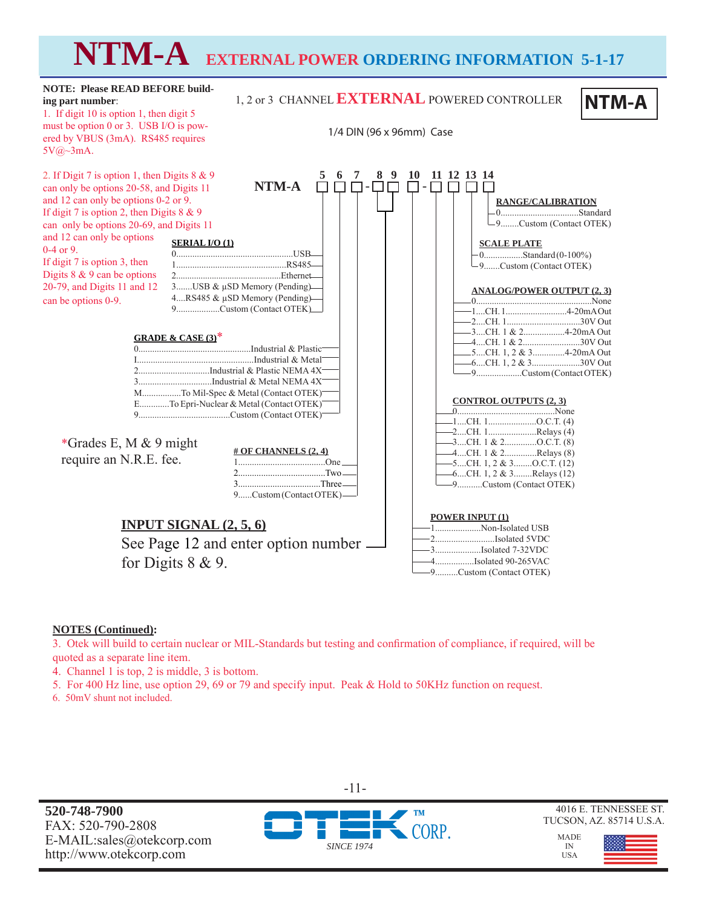# **NTM-A EXTERNAL POWER ORDERING INFORMATION 5-1-17**

#### **NTM-A SERIAL I/O (1)** 0...................................................USB 1................................................RS485 2...............................................Ethernet 3.......USB & μSD Memory (Pending) 4....RS485 & μSD Memory (Pending) 9...................Custom (Contact OTEK) **CONTROL OUTPUTS (2, 3)** 0...........................................None 1....CH. 1.....................O.C.T. (4) 2....CH. 1.....................Relays (4) 3....CH. 1 & 2..............O.C.T. (8) 4....CH. 1 & 2..............Relays (8) 5....CH. 1, 2 & 3........O.C.T. (12) 6....CH. 1, 2 & 3........Relays (12) 9...........Custom (Contact OTEK) **RANGE/CALIBRATION** 0..................................Standard  $\Box$ 9.........Custom (Contact OTEK) **SCALE PLATE** 0.................Standard (0-100%) L<sub>9</sub>.......Custom (Contact OTEK)  $-$ QQ $\Box$ **ANALOG/POWER OUTPUT (2, 3)** 0...................................................None 1....CH. 1...........................4-20mA Out 2....CH. 1................................30V Out 3....CH. 1 & 2..................4-20mA Out 4....CH. 1 & 2.........................30V Out 5....CH. 1, 2 & 3..............4-20mA Out 6....CH. 1, 2 & 3.....................30V Out 9....................Custom (Contact OTEK) **INPUT SIGNAL (2, 5, 6)** See Page 12 and enter option number for Digits 8 & 9. **# OF CHANNELS (2, 4)** 1......................................One 2......................................Two 3....................................Three 9......Custom (Contact OTEK)  **5 6 7 8 9 10 11 12 13 14** 1, 2 or 3 CHANNEL**EXTERNAL** POWERED CONTROLLER **NTM-A** 1/4 DIN (96 x 96mm) Case **NOTE: Please READ BEFORE building part number**: 1. If digit 10 is option 1, then digit 5 must be option 0 or 3. USB I/O is powered by VBUS (3mA). RS485 requires 5V@~3mA. 2. If Digit 7 is option 1, then Digits 8 & 9 can only be options 20-58, and Digits 11 and 12 can only be options 0-2 or 9. If digit 7 is option 2, then Digits  $8 \& 9$ can only be options 20-69, and Digits 11 and 12 can only be options 0-4 or 9. If digit 7 is option 3, then Digits 8 & 9 can be options 20-79, and Digits 11 and 12 can be options 0-9. **POWER INPUT (1)** 1....................Non-Isolated USB 2..........................Isolated 5VDC 3....................Isolated 7-32VDC 4.................Isolated 90-265VAC 9..........Custom (Contact OTEK) \*Grades E, M & 9 might require an N.R.E. fee. **GRADE & CASE (3)**\* 0.................................................Industrial & Plastic I...................................................Industrial & Metal 2...............................Industrial & Plastic NEMA 4X 3................................Industrial & Metal NEMA 4X M.................To Mil-Spec & Metal (Contact OTEK) E.............To Epri-Nuclear & Metal (Contact OTEK) 9........................................Custom (Contact OTEK)

#### **NOTES (Continued):**

3. Otek will build to certain nuclear or MIL-Standards but testing and confirmation of compliance, if required, will be quoted as a separate line item.

- 4. Channel 1 is top, 2 is middle, 3 is bottom.
- 5. For 400 Hz line, use option 29, 69 or 79 and specify input. Peak & Hold to 50KHz function on request.
- 6. 50mV shunt not included.

**520-748-7900** FAX: 520-790-2808 E-MAIL:sales@otekcorp.com http://www.otekcorp.com



-11-

4016 E. TENNESSEE ST. TUCSON, AZ. 85714 U.S.A.

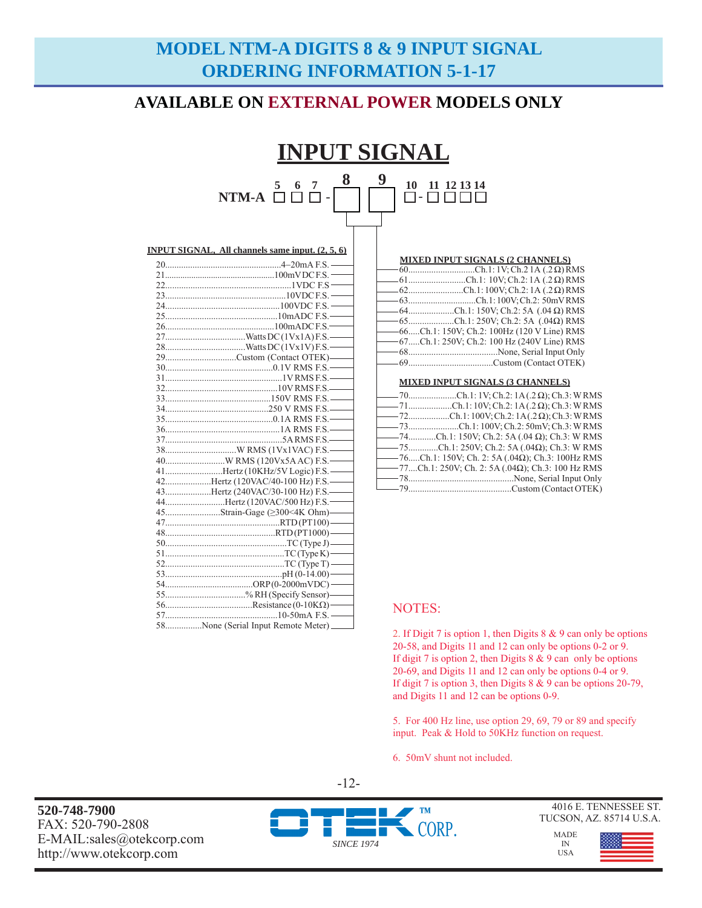# **MODEL NTM-A DIGITS 8 & 9 INPUT SIGNAL ORDERING INFORMATION 5-1-17**

# **AVAILABLE ON EXTERNAL POWER MODELS ONLY**

# **INPUT SIGNAL 5 6 7**   $\blacksquare$   $\blacksquare$   $\blacksquare$   $\blacksquare$   $\blacksquare$   $\blacksquare$ **8 9**  - **10 11 12 13 14**

| <b>MIXED INPUT SIGNALS (2 CHANNELS)</b>        |
|------------------------------------------------|
|                                                |
| $-61$ Ch.1: 10V; Ch.2: 1A (.2 $\Omega$ ) RMS   |
| $-62$ Ch.1:100V; Ch.2:1A (.2 $\Omega$ ) RMS    |
| -63Ch.1:100V; Ch.2: 50mVRMS                    |
| $-64$ Ch.1: 150V; Ch.2: 5A (.04 $\Omega$ ) RMS |
| $-65$ Ch.1: 250V; Ch.2: 5A (.04 $\Omega$ ) RMS |
| -66Ch.1: 150V; Ch.2: 100Hz (120 V Line) RMS    |
| -67Ch.1: 250V; Ch.2: 100 Hz (240V Line) RMS    |
|                                                |
|                                                |
|                                                |

| <b>MIXED INPUT SIGNALS (3 CHANNELS)</b> |  |
|-----------------------------------------|--|
|-----------------------------------------|--|

| $-$ 70Ch.1:1V; Ch.2:1A(.2 $\Omega$ ); Ch.3: WRMS              |
|---------------------------------------------------------------|
| $-71$ Ch.1:10V; Ch.2:1A(.2 $\Omega$ ); Ch.3: WRMS             |
| $-$ 72Ch.1:100V; Ch.2:1A(.2 $\Omega$ ); Ch.3: WRMS            |
|                                                               |
| $-$ 74Ch.1: 150V; Ch.2: 5A (.04 $\Omega$ ); Ch.3: W RMS       |
| $-$ 75Ch.1: 250V; Ch.2: 5A (.04 $\Omega$ ); Ch.3: W RMS       |
| $-$ 76Ch.1: 150V; Ch. 2: 5A (.04 $\Omega$ ); Ch.3: 100Hz RMS  |
| $-$ 77Ch.1: 250V; Ch. 2: 5A (.04 $\Omega$ ); Ch.3: 100 Hz RMS |
|                                                               |
|                                                               |

| 29Custom (Contact OTEK)-           |  |
|------------------------------------|--|
|                                    |  |
|                                    |  |
|                                    |  |
|                                    |  |
|                                    |  |
|                                    |  |
|                                    |  |
|                                    |  |
|                                    |  |
|                                    |  |
| 41Hertz (10KHz/5V Logic) F.S. -    |  |
| 42Hertz (120VAC/40-100 Hz) F.S.-   |  |
| 43Hertz (240VAC/30-100 Hz) F.S.-   |  |
| 44Hertz (120VAC/500 Hz) F.S.-      |  |
| 45Strain-Gage (≥300<4K Ohm)-       |  |
|                                    |  |
|                                    |  |
|                                    |  |
|                                    |  |
|                                    |  |
|                                    |  |
|                                    |  |
| 55% RH (Specify Sensor)—           |  |
|                                    |  |
|                                    |  |
| 58None (Serial Input Remote Meter) |  |

**INPUT SIGNAL, All channels same input. (2, 5, 6)**

### NOTES:

2. If Digit 7 is option 1, then Digits 8 & 9 can only be options 20-58, and Digits 11 and 12 can only be options 0-2 or 9. If digit 7 is option 2, then Digits  $8 \& 9$  can only be options 20-69, and Digits 11 and 12 can only be options 0-4 or 9. If digit 7 is option 3, then Digits  $8 \& 9$  can be options 20-79, and Digits 11 and 12 can be options 0-9.

5. For 400 Hz line, use option 29, 69, 79 or 89 and specify input. Peak & Hold to 50KHz function on request.

6. 50mV shunt not included.

**520-748-7900** FAX: 520-790-2808 E-MAIL:sales@otekcorp.com http://www.otekcorp.com



-12-

4016 E. TENNESSEE ST. TUCSON, AZ. 85714 U.S.A.